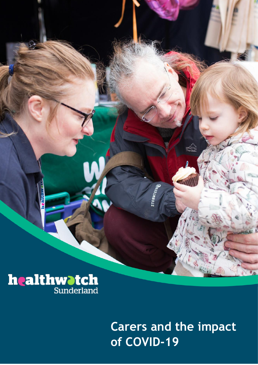

# **Carers and the impact of COVID-19**

**STORMTECHO**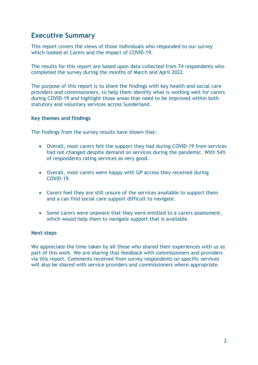# **Executive Summary**

This report covers the views of those individuals who responded to our survey which looked at Carers and the Impact of COVID-19.

The results for this report are based upon data collected from 74 respondents who completed the survey during the months of March and April 2022.

The purpose of this report is to share the findings with key health and social care providers and commissioners, to help them identify what is working well for carers during COVID-19 and highlight those areas that need to be improved within both statutory and voluntary services across Sunderland.

#### **Key themes and findings**

The findings from the survey results have shown that:

- Overall, most carers felt the support they had during COVID-19 from services had not changed despite demand on services during the pandemic. With 54% of respondents rating services as very good.
- Overall, most carers were happy with GP access they received during COVID-19.
- Carers feel they are still unsure of the services available to support them and a can find social care support difficult to navigate.
- Some carers were unaware that they were entitled to a carers assessment, which would help them to navigate support that is available.

#### **Next steps**

We appreciate the time taken by all those who shared their experiences with us as part of this work. We are sharing that feedback with commissioners and providers via this report. Comments received from survey respondents on specific services will also be shared with service providers and commissioners where appropriate.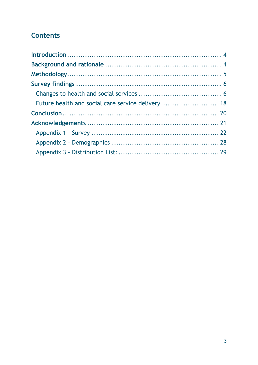# **Contents**

| Future health and social care service delivery 18 |  |
|---------------------------------------------------|--|
|                                                   |  |
|                                                   |  |
|                                                   |  |
|                                                   |  |
|                                                   |  |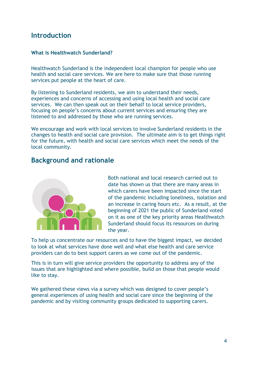# <span id="page-3-0"></span>**Introduction**

### **What is Healthwatch Sunderland?**

Healthwatch Sunderland is the independent local champion for people who use health and social care services. We are here to make sure that those running services put people at the heart of care.

By listening to Sunderland residents, we aim to understand their needs, experiences and concerns of accessing and using local health and social care services. We can then speak out on their behalf to local service providers, focusing on people's concerns about current services and ensuring they are listened to and addressed by those who are running services.

We encourage and work with local services to involve Sunderland residents in the changes to health and social care provision. The ultimate aim is to get things right for the future, with health and social care services which meet the needs of the local community.

# <span id="page-3-1"></span>**Background and rationale**



Both national and local research carried out to date has shown us that there are many areas in which carers have been impacted since the start of the pandemic including loneliness, isolation and an increase in caring hours etc. As a result, at the beginning of 2021 the public of Sunderland voted on it as one of the key priority areas Healthwatch Sunderland should focus its resources on during the year.

To help us concentrate our resources and to have the biggest impact, we decided to look at what services have done well and what else health and care service providers can do to best support carers as we come out of the pandemic.

This is in turn will give service providers the opportunity to address any of the issues that are highlighted and where possible, build on those that people would like to stay.

We gathered these views via a survey which was designed to cover people's general experiences of using health and social care since the beginning of the pandemic and by visiting community groups dedicated to supporting carers.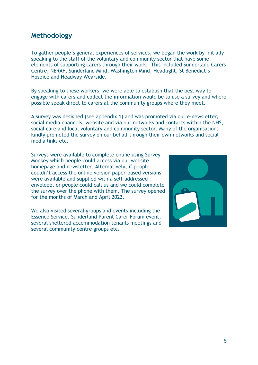# <span id="page-4-0"></span>**Methodology**

To gather people's general experiences of services, we began the work by initially speaking to the staff of the voluntary and community sector that have some elements of supporting carers through their work. This included Sunderland Carers Centre, NERAF, Sunderland Mind, Washington Mind, Headlight, St Benedict's Hospice and Headway Wearside.

By speaking to these workers, we were able to establish that the best way to engage with carers and collect the information would be to use a survey and where possible speak direct to carers at the community groups where they meet.

A survey was designed (see appendix 1) and was promoted via our e-newsletter, social media channels, website and via our networks and contacts within the NHS, social care and local voluntary and community sector. Many of the organisations kindly promoted the survey on our behalf through their own networks and social media links etc.

Surveys were available to complete online using Survey Monkey which people could access via our website homepage and newsletter. Alternatively, if people couldn't access the online version paper-based versions were available and supplied with a self-addressed envelope, or people could call us and we could complete the survey over the phone with them. The survey opened for the months of March and April 2022.

We also visited several groups and events including the Essence Service, Sunderland Parent Carer Forum event, several sheltered accommodation tenants meetings and several community centre groups etc.

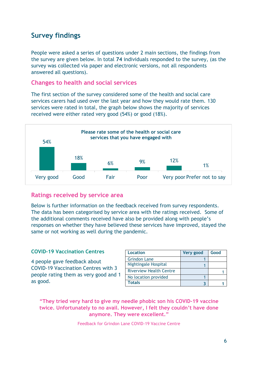# <span id="page-5-0"></span>**Survey findings**

People were asked a series of questions under 2 main sections, the findings from the survey are given below. In total **74** individuals responded to the survey, (as the survey was collected via paper and electronic versions, not all respondents answered all questions).

# <span id="page-5-1"></span>**Changes to health and social services**

The first section of the survey considered some of the health and social care services carers had used over the last year and how they would rate them. 130 services were rated in total, the graph below shows the majority of services received were either rated very good (54%) or good (18%).



# **Ratings received by service area**

Below is further information on the feedback received from survey respondents. The data has been categorised by service area with the ratings received. Some of the additional comments received have also be provided along with people's responses on whether they have believed these services have improved, stayed the same or not working as well during the pandemic.

# **COVID-19 Vaccination Centres**

4 people gave feedback about COVID-19 Vaccination Centres with 3 people rating them as very good and 1 as good.

| <b>Location</b>                | Very good | Good |
|--------------------------------|-----------|------|
| <b>Grindon Lane</b>            |           |      |
| <b>Nightingale Hospital</b>    |           |      |
| <b>Riverview Health Centre</b> |           |      |
| No location provided           |           |      |
| <b>Totals</b>                  |           |      |

# **"They tried very hard to give my needle phobic son his COVID-19 vaccine twice. Unfortunately to no avail. However, I felt they couldn't have done anymore. They were excellent."**

Feedback for Grindon Lane COVID-19 Vaccine Centre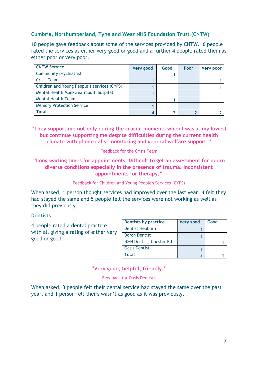# **Cumbria, Northumberland, Tyne and Wear NHS Foundation Trust (CNTW)**

10 people gave feedback about some of the services provided by CNTW. 6 people rated the services as either very good or good and a further 4 people rated them as either poor or very poor.

| <b>CNTW Service</b>                         | <b>Very good</b> | Good | Poor | <b>Very poor</b> |
|---------------------------------------------|------------------|------|------|------------------|
| Community psychiatrist                      |                  |      |      |                  |
| <b>Crisis Team</b>                          |                  |      |      |                  |
| Children and Young People's services (CYPS) |                  |      |      |                  |
| Mental Health Monkwearmouth hospital        |                  |      |      |                  |
| <b>Mental Health Team</b>                   |                  |      |      |                  |
| <b>Memory Protection Service</b>            |                  |      |      |                  |
| <b>Total</b>                                |                  |      |      |                  |

**"They support me not only during the crucial moments when I was at my lowest but continue supporting me despite difficulties during the current health climate with phone calls, monitoring and general welfare support."**

Feedback for the Crisis Team

**"Long waiting times for appointments. Difficult to get an assessment for nuero diverse conditions especially in the presence of trauma. Inconsistent appointments for therapy."**

Feedback for Children and Young People's Services (CYPS)

When asked, 1 person thought services had improved over the last year, 4 felt they had stayed the same and 5 people felt the services were not working as well as they did previously.

#### **Dentists**

4 people rated a dental practice, with all giving a rating of either very good or good.

| <b>Dentists by practice</b> | Very good | Good |
|-----------------------------|-----------|------|
| <b>Dentist Hebburn</b>      |           |      |
| <b>Doron Dentist</b>        |           |      |
| N&N Dentist, Chester Rd     |           |      |
| <b>Oasis Dentist</b>        |           |      |
| Total                       |           |      |

**"Very good, helpful, friendly."**

#### Feedback for Oasis Dentists

When asked, 3 people felt their dental service had stayed the same over the past year, and 1 person felt theirs wasn't as good as it was previously.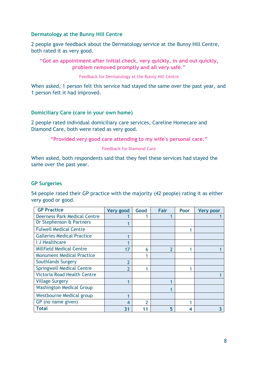### **Dermatology at the Bunny Hill Centre**

2 people gave feedback about the Dermatology service at the Bunny Hill Centre, both rated it as very good.

**"Got an appointment after initial check, very quickly, in and out quickly, problem removed promptly and all very safe."**

Feedback for Dermatology at the Bunny Hill Centre

When asked, 1 person felt this service had stayed the same over the past year, and 1 person felt it had improved.

#### **Domiciliary Care (care in your own home)**

2 people rated individual domiciliary care services, Careline Homecare and Diamond Care, both were rated as very good.

**"Provided very good care attending to my wife's personal care."**

#### Feedback for Diamond Care

When asked, both respondents said that they feel these services had stayed the same over the past year.

### **GP Surgeries**

54 people rated their GP practice with the majority (42 people) rating it as either very good or good.

| <b>GP Practice</b>                  | Very good | Good | Fair | Poor | Very poor |
|-------------------------------------|-----------|------|------|------|-----------|
| <b>Deerness Park Medical Centre</b> |           |      |      |      |           |
| Dr Stephenson & Partners            |           |      |      |      |           |
| <b>Fulwell Medical Centre</b>       |           |      |      |      |           |
| <b>Galleries Medical Practice</b>   |           |      |      |      |           |
| I J Healthcare                      |           |      |      |      |           |
| <b>Millfield Medical Centre</b>     | 17        | 6    | າ    |      |           |
| <b>Monument Medical Practice</b>    |           |      |      |      |           |
| Southlands Surgery                  | າ         |      |      |      |           |
| <b>Springwell Medical Centre</b>    |           |      |      |      |           |
| <b>Victoria Road Health Centre</b>  |           |      |      |      |           |
| <b>Village Surgery</b>              |           |      |      |      |           |
| <b>Washington Medical Group</b>     |           |      |      |      |           |
| Westbourne Medical group            |           |      |      |      |           |
| GP (no name given)                  | 4         | າ    |      |      |           |
| Total                               | 31        |      | 5    | 4    |           |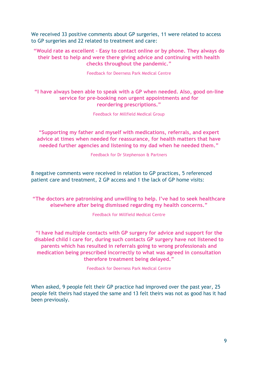We received 33 positive comments about GP surgeries, 11 were related to access to GP surgeries and 22 related to treatment and care:

**"Would rate as excellent - Easy to contact online or by phone. They always do their best to help and were there giving advice and continuing with health checks throughout the pandemic."**

Feedback for Deerness Park Medical Centre

# **"I have always been able to speak with a GP when needed. Also, good on-line service for pre-booking non urgent appointments and for reordering prescriptions."**

Feedback for Millfield Medical Group

**"Supporting my father and myself with medications, referrals, and expert advice at times when needed for reassurance, for health matters that have needed further agencies and listening to my dad when he needed them."**

Feedback for Dr Stephenson & Partners

8 negative comments were received in relation to GP practices, 5 referenced patient care and treatment, 2 GP access and 1 the lack of GP home visits:

**"The doctors are patronising and unwilling to help. I've had to seek healthcare elsewhere after being dismissed regarding my health concerns."**

Feedback for Millfield Medical Centre

**"I have had multiple contacts with GP surgery for advice and support for the disabled child I care for, during such contacts GP surgery have not listened to parents which has resulted in referrals going to wrong professionals and medication being prescribed incorrectly to what was agreed in consultation therefore treatment being delayed."**

Feedback for Deerness Park Medical Centre

When asked, 9 people felt their GP practice had improved over the past year, 25 people felt theirs had stayed the same and 13 felt theirs was not as good has it had been previously.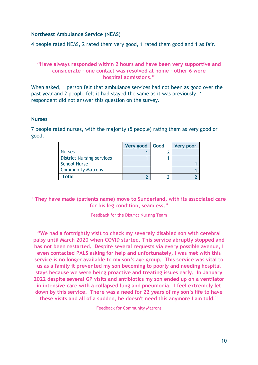### **Northeast Ambulance Service (NEAS)**

4 people rated NEAS, 2 rated them very good, 1 rated them good and 1 as fair.

### **"Have always responded within 2 hours and have been very supportive and considerate - one contact was resolved at home - other 6 were hospital admissions."**

When asked, 1 person felt that ambulance services had not been as good over the past year and 2 people felt it had stayed the same as it was previously. 1 respondent did not answer this question on the survey.

#### **Nurses**

**Very good Good Very poor** Nurses 2 District Nursing services 1 1 1 School Nurse 2012 12:00 12:00 12:00 12:00 12:00 12:00 12:00 12:00 12:00 12:00 12:00 12:00 12:00 12:00 12:00 12:00 12:00 12:00 12:00 12:00 12:00 12:00 12:00 12:00 12:00 12:00 12:00 12:00 12:00 12:00 12:00 12:00 12:00 12:00 **Community Matrons 1 1 1 1 1** 

7 people rated nurses, with the majority (5 people) rating them as very good or good.

# **"They have made (patients name) move to Sunderland, with its associated care for his leg condition, seamless."**

**Total 2 3 2**

Feedback for the District Nursing Team

**"We had a fortnightly visit to check my severely disabled son with cerebral palsy until March 2020 when COVID started. This service abruptly stopped and has not been restarted. Despite several requests via every possible avenue, I even contacted PALS asking for help and unfortunately, I was met with this service is no longer available to my son's age group. This service was vital to us as a family it prevented my son becoming to poorly and needing hospital stays because we were being proactive and treating issues early. In January 2022 despite several GP visits and antibiotics my son ended up on a ventilator in intensive care with a collapsed lung and pneumonia. I feel extremely let down by this service. There was a need for 22 years of my son's life to have these visits and all of a sudden, he doesn't need this anymore I am told."**

Feedback for Community Matrons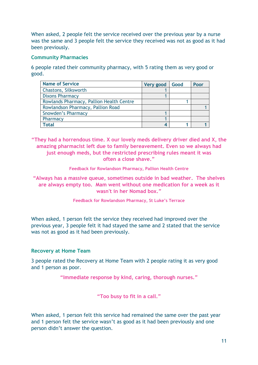When asked, 2 people felt the service received over the previous year by a nurse was the same and 3 people felt the service they received was not as good as it had been previously.

### **Community Pharmacies**

6 people rated their community pharmacy, with 5 rating them as very good or good.

| <b>Name of Service</b>                   | Very good | Good | Poor |
|------------------------------------------|-----------|------|------|
| Chastons, Silksworth                     |           |      |      |
| <b>Dixons Pharmacy</b>                   |           |      |      |
| Rowlands Pharmacy, Pallion Health Centre |           |      |      |
| Rowlandson Pharmacy, Pallion Road        |           |      |      |
| Snowden's Pharmacy                       |           |      |      |
| Pharmacy                                 |           |      |      |
| Total                                    |           |      |      |

**"They had a horrendous time. X our lovely meds delivery driver died and X, the amazing pharmacist left due to family bereavement. Even so we always had just enough meds, but the restricted prescribing rules meant it was often a close shave."**

**Feedback for Rowlandson Pharmacy, Pallion Health Centre**

**"Always has a massive queue, sometimes outside in bad weather. The shelves are always empty too. Mam went without one medication for a week as it wasn't in her Nomad box."**

**Feedback for Rowlandson Pharmacy, St Luke's Terrace**

When asked, 1 person felt the service they received had improved over the previous year, 3 people felt it had stayed the same and 2 stated that the service was not as good as it had been previously.

# **Recovery at Home Team**

3 people rated the Recovery at Home Team with 2 people rating it as very good and 1 person as poor.

**"Immediate response by kind, caring, thorough nurses."**

**"Too busy to fit in a call."**

When asked, 1 person felt this service had remained the same over the past year and 1 person felt the service wasn't as good as it had been previously and one person didn't answer the question.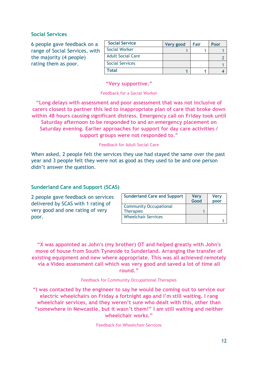### **Social Services**

6 people gave feedback on a range of Social Services, with the majority (4 people) rating them as poor.

| <b>Social Service</b>    | Very good | Fair | Poor |
|--------------------------|-----------|------|------|
| <b>Social Worker</b>     |           |      |      |
| <b>Adult Social Care</b> |           |      |      |
| <b>Social Services</b>   |           |      |      |
| <b>Total</b>             |           |      |      |

**"Very supportive."**

#### Feedback for a Social Worker

**"Long delays with assessment and poor assessment that was not inclusive of carers closest to partner this led to inappropriate plan of care that broke down within 48 hours causing significant distress. Emergency call on Friday took until Saturday afternoon to be responded to and an emergency placement on Saturday evening. Earlier approaches for support for day care activities / support groups were not responded to."**

#### Feedback for Adult Social Care

When asked, 2 people felt the services they use had stayed the same over the past year and 3 people felt they were not as good as they used to be and one person didn't answer the question.

#### **Sunderland Care and Support (SCAS)**

2 people gave feedback on services delivered by SCAS with 1 rating of very good and one rating of very poor.

| <b>Sunderland Care and Support</b> | <b>Very</b><br>Good | <b>Very</b><br>poor |
|------------------------------------|---------------------|---------------------|
| <b>Community Occupational</b>      |                     |                     |
| <b>Therapies</b>                   |                     |                     |
| <b>Wheelchair Services</b>         |                     |                     |

**"X was appointed as John's (my brother) OT and helped greatly with John's move of house from South Tyneside to Sunderland. Arranging the transfer of existing equipment and new where appropriate. This was all achieved remotely via a Video assessment call which was very good and saved a lot of time all round."**

#### Feedback for Community Occupational Therapies

**"I was contacted by the engineer to say he would be coming out to service our electric wheelchairs on Friday a fortnight ago and I'm still waiting. I rang wheelchair services, and they weren't sure who dealt with this, other than "somewhere in Newcastle, but it wasn't them!" I am still waiting and neither wheelchair works."**

Feedback for Wheelchair Services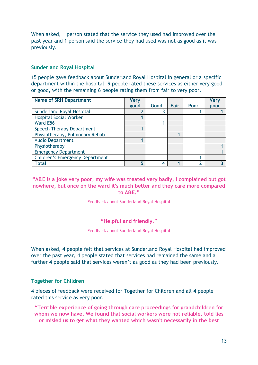When asked, 1 person stated that the service they used had improved over the past year and 1 person said the service they had used was not as good as it was previously.

### **Sunderland Royal Hospital**

15 people gave feedback about Sunderland Royal Hospital in general or a specific department within the hospital. 9 people rated these services as either very good or good, with the remaining 6 people rating them from fair to very poor.

| <b>Name of SRH Department</b>          | <b>Very</b> |      |      |      | <b>Very</b> |
|----------------------------------------|-------------|------|------|------|-------------|
|                                        | good        | Good | Fair | Poor | poor        |
| <b>Sunderland Royal Hospital</b>       |             |      |      |      |             |
| <b>Hospital Social Worker</b>          |             |      |      |      |             |
| Ward E56                               |             |      |      |      |             |
| <b>Speech Therapy Department</b>       |             |      |      |      |             |
| Physiotherapy, Pulmonary Rehab         |             |      |      |      |             |
| <b>Audio Department</b>                |             |      |      |      |             |
| Physiotherapy                          |             |      |      |      |             |
| <b>Emergency Department</b>            |             |      |      |      |             |
| <b>Children's Emergency Department</b> |             |      |      |      |             |
| <b>Total</b>                           | 5           |      |      |      |             |

# **"A&E is a joke very poor, my wife was treated very badly, I complained but got nowhere, but once on the ward it's much better and they care more compared to A&E."**

Feedback about Sunderland Royal Hospital

#### **"Helpful and friendly."**

Feedback about Sunderland Royal Hospital

When asked, 4 people felt that services at Sunderland Royal Hospital had improved over the past year, 4 people stated that services had remained the same and a further 4 people said that services weren't as good as they had been previously.

# **Together for Children**

4 pieces of feedback were received for Together for Children and all 4 people rated this service as very poor.

**"Terrible experience of going through care proceedings for grandchildren for whom we now have. We found that social workers were not reliable, told lies or misled us to get what they wanted which wasn't necessarily in the best**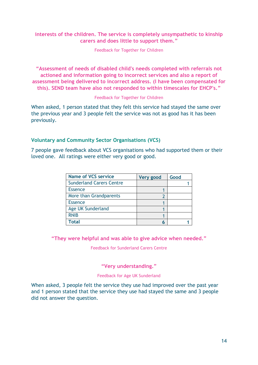### **interests of the children. The service is completely unsympathetic to kinship carers and does little to support them."**

Feedback for Together for Children

**"Assessment of needs of disabled child's needs completed with referrals not actioned and information going to incorrect services and also a report of assessment being delivered to incorrect address. (I have been compensated for this). SEND team have also not responded to within timescales for EHCP's."**

#### Feedback for Together for Children

When asked, 1 person stated that they felt this service had stayed the same over the previous year and 3 people felt the service was not as good has it has been previously.

# **Voluntary and Community Sector Organisations (VCS)**

7 people gave feedback about VCS organisations who had supported them or their loved one. All ratings were either very good or good.

| <b>Name of VCS service</b>      | Very good | Good |
|---------------------------------|-----------|------|
| <b>Sunderland Carers Centre</b> |           |      |
| <b>Essence</b>                  |           |      |
| More than Grandparents          |           |      |
| <b>Essence</b>                  |           |      |
| Age UK Sunderland               |           |      |
| <b>RNIB</b>                     |           |      |
| Total                           | h         |      |

#### **"They were helpful and was able to give advice when needed."**

Feedback for Sunderland Carers Centre

#### **"Very understanding."**

#### Feedback for Age UK Sunderland

When asked, 3 people felt the service they use had improved over the past year and 1 person stated that the service they use had stayed the same and 3 people did not answer the question.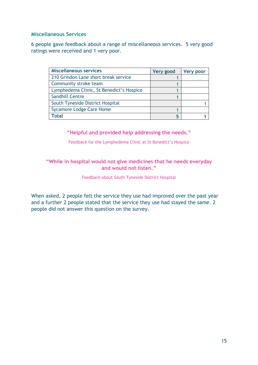### **Miscellaneous Services**

6 people gave feedback about a range of miscellaneous services. 5 very good ratings were received and 1 very poor.

| <b>Miscellaneous services</b>            | Very good | <b>Very poor</b> |
|------------------------------------------|-----------|------------------|
| 210 Grindon Lane short break service     |           |                  |
| Community stroke team                    |           |                  |
| Lymphedema Clinic, St Benedict's Hospice |           |                  |
| <b>Sandhill Centre</b>                   |           |                  |
| South Tyneside District Hospital         |           |                  |
| <b>Sycamore Lodge Care Home</b>          |           |                  |
| Total                                    | 5         |                  |

### **"Helpful and provided help addressing the needs."**

Feedback for the Lymphedema Clinic at St Benedict's Hospice

# **"While in hospital would not give medicines that he needs everyday and would not listen."**

Feedback about South Tyneside District Hospital

When asked, 2 people felt the service they use had improved over the past year and a further 2 people stated that the service they use had stayed the same. 2 people did not answer this question on the survey.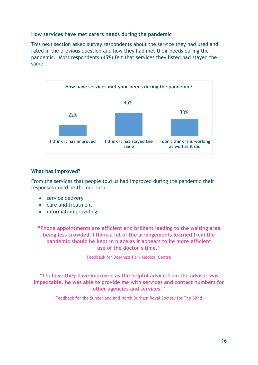### **How services have met carers needs during the pandemic**

This next section asked survey respondents about the service they had used and rated in the previous question and how they had met their needs during the pandemic. Most respondents (45%) felt that services they listed had stayed the same.



#### **What has improved?**

From the services that people told us had improved during the pandemic their responses could be themed into:

- service delivery
- care and treatment
- information providing

**"Phone appointments are efficient and brilliant leading to the waiting area being less crowded. I think a lot of the arrangements learned from the pandemic should be kept in place as it appears to be more efficient use of the doctor's time."**

Feedback for Deerness Park Medical Centre

### **"I believe they have improved as the helpful advice from the advisor was impeccable, he was able to provide me with services and contact numbers for other agencies and services."**

Feedback for the Sunderland and North Durham Royal Society for The Blind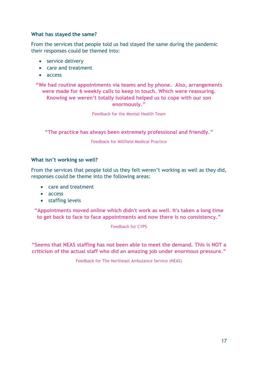### **What has stayed the same?**

From the services that people told us had stayed the same during the pandemic their responses could be themed into:

- service delivery
- care and treatment
- access

**"We had routine appointments via teams and by phone. Also, arrangements were made for 6 weekly calls to keep in touch. Which were reassuring. Knowing we weren't totally isolated helped us to cope with our son enormously."**

Feedback for the Mental Health Team

**"The practice has always been extremely professional and friendly."**

Feedback for Millfield Medical Practice

#### **What isn't working so well?**

From the services that people told us they felt weren't working as well as they did, responses could be theme into the following areas:

- care and treatment
- access
- staffing levels

**"Appointments moved online which didn't work as well. It's taken a long time to get back to face to face appointments and now there is no consistency."**

Feedback for CYPS

**"Seems that NEAS staffing has not been able to meet the demand. This is NOT a criticism of the actual staff who did an amazing job under enormous pressure."**

Feedback for The Northeast Ambulance Service (NEAS)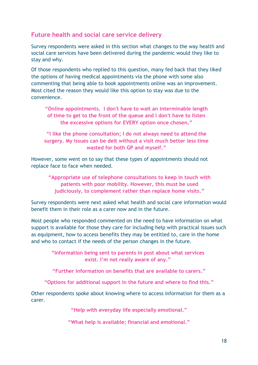# <span id="page-17-0"></span>**Future health and social care service delivery**

Survey respondents were asked in this section what changes to the way health and social care services have been delivered during the pandemic would they like to stay and why.

Of those respondents who replied to this question, many fed back that they liked the options of having medical appointments via the phone with some also commenting that being able to book appointments online was an improvement. Most cited the reason they would like this option to stay was due to the convenience.

**"Online appointments. I don't have to wait an interminable length of time to get to the front of the queue and I don't have to listen the excessive options for EVERY option once chosen."**

**"I like the phone consultation; I do not always need to attend the surgery. My issues can be delt without a visit much better less time wasted for both GP and myself."**

However, some went on to say that these types of appointments should not replace face to face when needed.

**"Appropriate use of telephone consultations to keep in touch with patients with poor mobility. However, this must be used judiciously, to complement rather than replace home visits."**

Survey respondents were next asked what health and social care information would benefit them in their role as a carer now and in the future.

Most people who responded commented on the need to have information on what support is available for those they care for including help with practical issues such as equipment, how to access benefits they may be entitled to, care in the home and who to contact if the needs of the person changes in the future.

> **"Information being sent to parents in post about what services exist. I'm not really aware of any."**

> **"Further information on benefits that are available to carers."**

**"Options for additional support in the future and where to find this."**

Other respondents spoke about knowing where to access information for them as a carer.

**"Help with everyday life especially emotional."**

**"What help is available; financial and emotional."**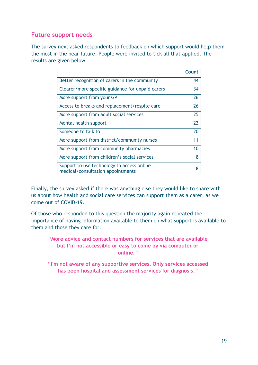# **Future support needs**

The survey next asked respondents to feedback on which support would help them the most in the near future. People were invited to tick all that applied. The results are given below.

|                                                                                 | Count |
|---------------------------------------------------------------------------------|-------|
| Better recognition of carers in the community                                   | 44    |
| Clearer/more specific guidance for unpaid carers                                | 34    |
| More support from your GP                                                       | 26    |
| Access to breaks and replacement/respite care                                   | 26    |
| More support from adult social services                                         | 25    |
| Mental health support                                                           | 22    |
| Someone to talk to                                                              | 20    |
| More support from district/community nurses                                     | 11    |
| More support from community pharmacies                                          | 10    |
| More support from children's social services                                    | 8     |
| Support to use technology to access online<br>medical/consultation appointments | 8     |

Finally, the survey asked if there was anything else they would like to share with us about how health and social care services can support them as a carer, as we come out of COVID-19.

Of those who responded to this question the majority again repeated the importance of having information available to them on what support is available to them and those they care for.

**"More advice and contact numbers for services that are available but I'm not accessible or easy to come by via computer or online."**

**"I'm not aware of any supportive services. Only services accessed has been hospital and assessment services for diagnosis."**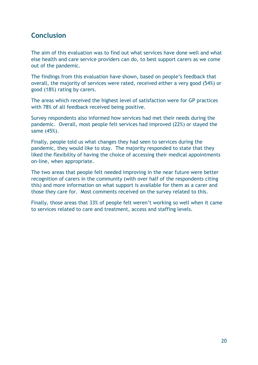# <span id="page-19-0"></span>**Conclusion**

The aim of this evaluation was to find out what services have done well and what else health and care service providers can do, to best support carers as we come out of the pandemic.

The findings from this evaluation have shown, based on people's feedback that overall, the majority of services were rated, received either a very good (54%) or good (18%) rating by carers.

The areas which received the highest level of satisfaction were for GP practices with 78% of all feedback received being positive.

Survey respondents also informed how services had met their needs during the pandemic. Overall, most people felt services had improved (22%) or stayed the same (45%).

Finally, people told us what changes they had seen to services during the pandemic, they would like to stay. The majority responded to state that they liked the flexibility of having the choice of accessing their medical appointments on-line, when appropriate.

The two areas that people felt needed improving in the near future were better recognition of carers in the community (with over half of the respondents citing this) and more information on what support is available for them as a carer and those they care for. Most comments received on the survey related to this.

Finally, those areas that 33% of people felt weren't working so well when it came to services related to care and treatment, access and staffing levels.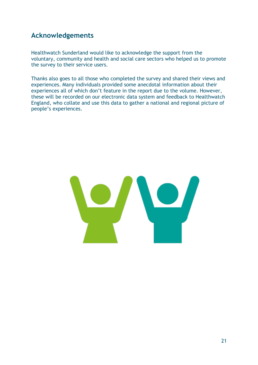# <span id="page-20-0"></span>**Acknowledgements**

Healthwatch Sunderland would like to acknowledge the support from the voluntary, community and health and social care sectors who helped us to promote the survey to their service users.

Thanks also goes to all those who completed the survey and shared their views and experiences. Many individuals provided some anecdotal information about their experiences all of which don't feature in the report due to the volume. However, these will be recorded on our electronic data system and feedback to Healthwatch England, who collate and use this data to gather a national and regional picture of people's experiences.

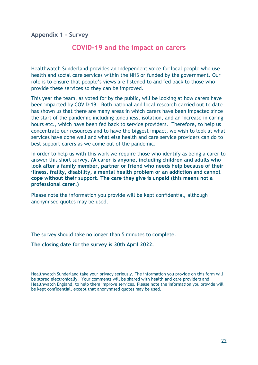<span id="page-21-0"></span>**Appendix 1 - Survey**

# **COVID-19 and the impact on carers**

Healthwatch Sunderland provides an independent voice for local people who use health and social care services within the NHS or funded by the government. Our role is to ensure that people's views are listened to and fed back to those who provide these services so they can be improved.

This year the team, as voted for by the public, will be looking at how carers have been impacted by COVID-19. Both national and local research carried out to date has shown us that there are many areas in which carers have been impacted since the start of the pandemic including loneliness, isolation, and an increase in caring hours etc., which have been fed back to service providers. Therefore, to help us concentrate our resources and to have the biggest impact, we wish to look at what services have done well and what else health and care service providers can do to best support carers as we come out of the pandemic.

In order to help us with this work we require those who identify as being a carer to answer this short survey**.** *(***A carer is anyone, including children and adults who look after a family member, partner or friend who needs help because of their illness, frailty, disability, a mental health problem or an addiction and cannot cope without their support. The care they give is unpaid (this means not a professional carer.)**

Please note the information you provide will be kept confidential, although anonymised quotes may be used.

The survey should take no longer than 5 minutes to complete.

**The closing date for the survey is 30th April 2022.**

Healthwatch Sunderland take your privacy seriously. The information you provide on this form will be stored electronically. Your comments will be shared with health and care providers and Healthwatch England, to help them improve services. Please note the information you provide will be kept confidential, except that anonymised quotes may be used.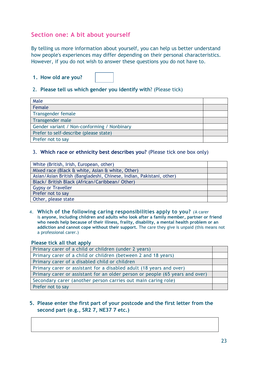# **Section one: A bit about yourself**

By telling us more information about yourself, you can help us better understand how people's experiences may differ depending on their personal characteristics. However, if you do not wish to answer these questions you do not have to.

**1. How old are you?**

### 2. **Please tell us which gender you identify with**? (Please tick)

| Male                                        |  |
|---------------------------------------------|--|
| Female                                      |  |
| Transgender female                          |  |
| Transgender male                            |  |
| Gender variant / Non-conforming / Nonbinary |  |
| Prefer to self-describe (please state)      |  |
| Prefer not to say                           |  |

#### 3. **Which race or ethnicity best describes you?** (Please tick one box only)

| White (British, Irish, European, other)                              |  |
|----------------------------------------------------------------------|--|
| Mixed race (Black & white, Asian & white, Other)                     |  |
| Asian/Asian British (Bangladeshi, Chinese, Indian, Pakistani, other) |  |
| Black/ British Black (African/Caribbean/ Other)                      |  |
| <b>Gypsy or Traveller</b>                                            |  |
| Prefer not to say                                                    |  |
| Other, please state                                                  |  |

4. **Which of the following caring responsibilities apply to you?** *(*A carer is **anyone, including children and adults who look after a family member, partner or friend who needs help because of their illness, frailty, disability, a mental health problem or an addiction and cannot cope without their support.** The care they give is unpaid (this means not a professional carer.)

#### **Please tick all that apply**

| Primary carer of a child or children (under 2 years)                         |  |
|------------------------------------------------------------------------------|--|
| Primary carer of a child or children (between 2 and 18 years)                |  |
| Primary carer of a disabled child or children                                |  |
| Primary carer or assistant for a disabled adult (18 years and over)          |  |
| Primary carer or assistant for an older person or people (65 years and over) |  |
| Secondary carer (another person carries out main caring role)                |  |
| Prefer not to say                                                            |  |

# **5. Please enter the first part of your postcode and the first letter from the second part (e.g., SR2 7, NE37 7 etc.)**

**Section two: Changes to health and social services**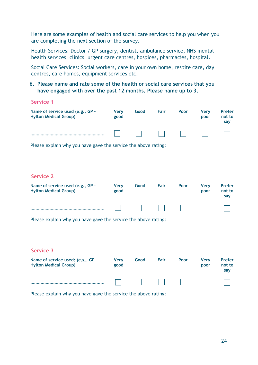Here are some examples of health and social care services to help you when you are completing the next section of the survey.

Health Services: Doctor / GP surgery, dentist, ambulance service, NHS mental health services, clinics, urgent care centres, hospices, pharmacies, hospital.

Social Care Services: Social workers, care in your own home, respite care, day centres, care homes, equipment services etc.

### **6. Please name and rate some of the health or social care services that you have engaged with over the past 12 months. Please name up to 3.**

| <b>Service 1</b>                                                  |                     |      |      |      |                     |                                |
|-------------------------------------------------------------------|---------------------|------|------|------|---------------------|--------------------------------|
| Name of service used (e.g., GP -<br><b>Hylton Medical Group)</b>  | <b>Very</b><br>good | Good | Fair | Poor | <b>Very</b><br>poor | <b>Prefer</b><br>not to<br>say |
|                                                                   |                     |      |      |      |                     |                                |
| Please explain why you have gave the service the above rating:    |                     |      |      |      |                     |                                |
|                                                                   |                     |      |      |      |                     |                                |
| <b>Service 2</b>                                                  |                     |      |      |      |                     |                                |
| Name of service used (e.g., GP -<br><b>Hylton Medical Group)</b>  | <b>Very</b><br>good | Good | Fair | Poor | <b>Very</b><br>poor | <b>Prefer</b><br>not to<br>say |
|                                                                   |                     |      |      |      |                     |                                |
| Please explain why you have gave the service the above rating:    |                     |      |      |      |                     |                                |
|                                                                   |                     |      |      |      |                     |                                |
| <b>Service 3</b>                                                  |                     |      |      |      |                     |                                |
| Name of service used: (e.g., GP -<br><b>Hylton Medical Group)</b> | <b>Very</b><br>good | Good | Fair | Poor | <b>Very</b><br>poor | <b>Prefer</b><br>not to<br>say |
|                                                                   |                     |      |      |      |                     |                                |

Please explain why you have gave the service the above rating: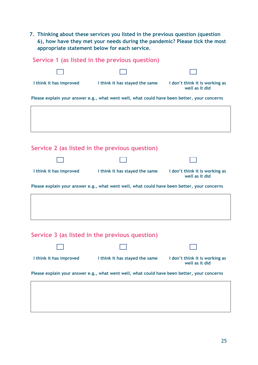**7. Thinking about these services you listed in the previous question (question 6), how have they met your needs during the pandemic? Please tick the most appropriate statement below for each service.**

|                         | Service 1 (as listed in the previous question)                                              |                                                  |
|-------------------------|---------------------------------------------------------------------------------------------|--------------------------------------------------|
|                         |                                                                                             |                                                  |
| I think it has improved | I think it has stayed the same                                                              | I don't think it is working as<br>well as it did |
|                         | Please explain your answer e.g., what went well, what could have been better, your concerns |                                                  |
|                         |                                                                                             |                                                  |
|                         |                                                                                             |                                                  |
|                         |                                                                                             |                                                  |
|                         | Service 2 (as listed in the previous question)                                              |                                                  |
|                         |                                                                                             |                                                  |
|                         |                                                                                             |                                                  |
| I think it has improved | I think it has stayed the same                                                              | I don't think it is working as<br>well as it did |
|                         | Please explain your answer e.g., what went well, what could have been better, your concerns |                                                  |
|                         |                                                                                             |                                                  |
|                         |                                                                                             |                                                  |
|                         |                                                                                             |                                                  |
|                         | Service 3 (as listed in the previous question)                                              |                                                  |

| I think it has improved | I think it has stayed the same                                                              | I don't think it is working as<br>well as it did |
|-------------------------|---------------------------------------------------------------------------------------------|--------------------------------------------------|
|                         | Please explain your answer e.g., what went well, what could have been better, your concerns |                                                  |
|                         |                                                                                             |                                                  |
|                         |                                                                                             |                                                  |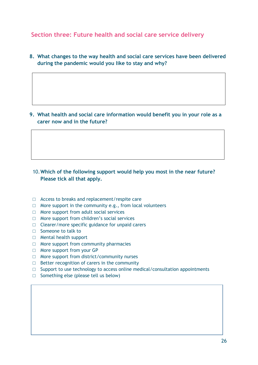# **Section three: Future health and social care service delivery**

**8. What changes to the way health and social care services have been delivered during the pandemic would you like to stay and why?**

**9. What health and social care information would benefit you in your role as a carer now and in the future?**

# 10.**Which of the following support would help you most in the near future? Please tick all that apply.**

- □ Access to breaks and replacement/respite care
- $\Box$  More support in the community e.g., from local volunteers
- □ More support from adult social services
- □ More support from children's social services
- $\Box$  Clearer/more specific guidance for unpaid carers
- □ Someone to talk to
- □ Mental health support
- □ More support from community pharmacies
- □ More support from your GP
- □ More support from district/community nurses
- $\Box$  Better recognition of carers in the community
- $\square$  Support to use technology to access online medical/consultation appointments
- □ Something else (please tell us below)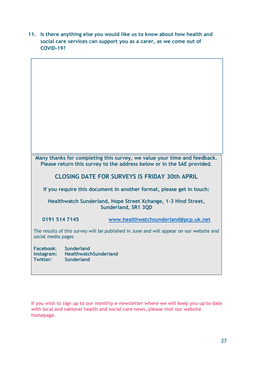**11. Is there anything else you would like us to know about how health and social care services can support you as a carer, as we come out of COVID-19?**



**If you wish to sign up to our monthly e-newsletter where we will keep you up to date with local and national health and social care news, please visit our website homepage.**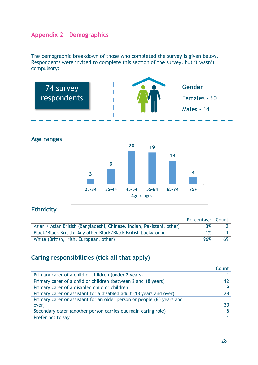# <span id="page-27-0"></span>**Appendix 2 – Demographics**

The demographic breakdown of those who completed the survey is given below. Respondents were invited to complete this section of the survey, but it wasn't compulsory:





# **Ethnicity**

|                                                                        | Percentage   Count |                 |
|------------------------------------------------------------------------|--------------------|-----------------|
| Asian / Asian British (Bangladeshi, Chinese, Indian, Pakistani, other) | $3\%$              |                 |
| Black/Black British: Any other Black/Black British background          | $1\%$              |                 |
| White (British, Irish, European, other)                                | 96%                | 69 <sup>1</sup> |

# **Caring responsibilities (tick all that apply)**

|                                                                        | <b>Count</b> |
|------------------------------------------------------------------------|--------------|
| Primary carer of a child or children (under 2 years)                   |              |
| Primary carer of a child or children (between 2 and 18 years)          | 12           |
| Primary carer of a disabled child or children                          |              |
| Primary carer or assistant for a disabled adult (18 years and over)    | 28           |
| Primary carer or assistant for an older person or people (65 years and |              |
| over)                                                                  | 30           |
| Secondary carer (another person carries out main caring role)          |              |
| Prefer not to say                                                      |              |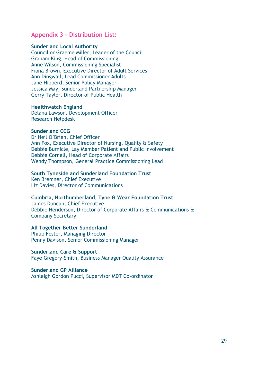# <span id="page-28-0"></span>**Appendix 3 - Distribution List:**

#### **Sunderland Local Authority**

Councillor Graeme Miller, Leader of the Council Graham King, Head of Commissioning Anne Wilson, Commissioning Specialist Fiona Brown, Executive Director of Adult Services Ann Dingwall, Lead Commissioner Adults Jane Hibberd, Senior Policy Manager Jessica May, Sunderland Partnership Manager Gerry Taylor, Director of Public Health

#### **Healthwatch England**

Delana Lawson, Development Officer Research Helpdesk

#### **Sunderland CCG**

Dr Neil O'Brien, Chief Officer Ann Fox, Executive Director of Nursing, Quality & Safety Debbie Burnicle, Lay Member Patient and Public Involvement Debbie Cornell, Head of Corporate Affairs Wendy Thompson, General Practice Commissioning Lead

#### **South Tyneside and Sunderland Foundation Trust**

Ken Bremner, Chief Executive Liz Davies, Director of Communications

#### **Cumbria, Northumberland, Tyne & Wear Foundation Trust**

James Duncan, Chief Executive Debbie Henderson, Director of Corporate Affairs & Communications & Company Secretary

#### **All Together Better Sunderland**

Philip Foster, Managing Director Penny Davison, Senior Commissioning Manager

**Sunderland Care & Support** Faye Gregory-Smith, Business Manager Quality Assurance

# **Sunderland GP Alliance**

Ashleigh Gordon Pucci, Supervisor MDT Co-ordinator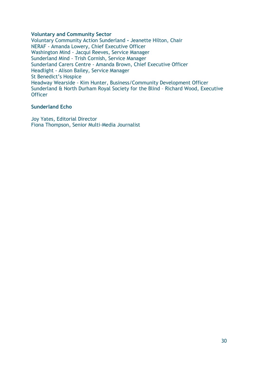#### **Voluntary and Community Sector**

Voluntary Community Action Sunderland **-** Jeanette Hilton, Chair NERAF - Amanda Lowery, Chief Executive Officer Washington Mind - Jacqui Reeves, Service Manager Sunderland Mind - Trish Cornish, Service Manager Sunderland Carers Centre - Amanda Brown, Chief Executive Officer Headlight - Alison Bailey, Service Manager St Benedict's Hospice Headway Wearside - Kim Hunter, Business/Community Development Officer Sunderland & North Durham Royal Society for the Blind – Richard Wood, Executive **Officer** 

#### **Sunderland Echo**

Joy Yates, Editorial Director Fiona Thompson, Senior Multi-Media Journalist